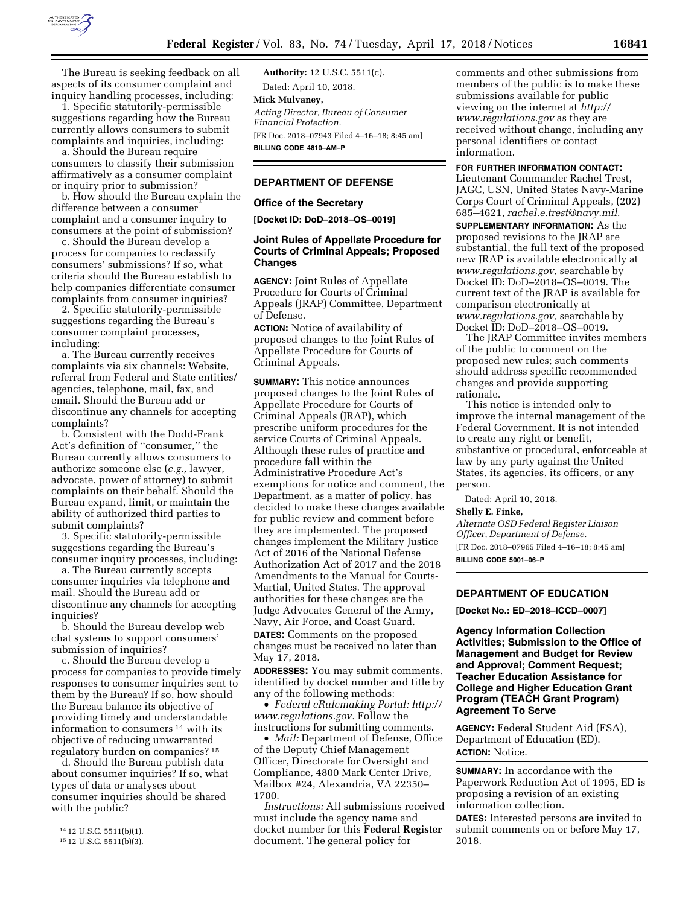

The Bureau is seeking feedback on all aspects of its consumer complaint and inquiry handling processes, including:

1. Specific statutorily-permissible suggestions regarding how the Bureau currently allows consumers to submit complaints and inquiries, including:

a. Should the Bureau require consumers to classify their submission affirmatively as a consumer complaint or inquiry prior to submission?

b. How should the Bureau explain the difference between a consumer complaint and a consumer inquiry to consumers at the point of submission?

c. Should the Bureau develop a process for companies to reclassify consumers' submissions? If so, what criteria should the Bureau establish to help companies differentiate consumer complaints from consumer inquiries?

2. Specific statutorily-permissible suggestions regarding the Bureau's consumer complaint processes, including:

a. The Bureau currently receives complaints via six channels: Website, referral from Federal and State entities/ agencies, telephone, mail, fax, and email. Should the Bureau add or discontinue any channels for accepting complaints?

b. Consistent with the Dodd-Frank Act's definition of ''consumer,'' the Bureau currently allows consumers to authorize someone else (*e.g.,* lawyer, advocate, power of attorney) to submit complaints on their behalf. Should the Bureau expand, limit, or maintain the ability of authorized third parties to submit complaints?

3. Specific statutorily-permissible suggestions regarding the Bureau's consumer inquiry processes, including:

a. The Bureau currently accepts consumer inquiries via telephone and mail. Should the Bureau add or discontinue any channels for accepting inquiries?

b. Should the Bureau develop web chat systems to support consumers' submission of inquiries?

c. Should the Bureau develop a process for companies to provide timely responses to consumer inquiries sent to them by the Bureau? If so, how should the Bureau balance its objective of providing timely and understandable information to consumers 14 with its objective of reducing unwarranted regulatory burden on companies? 15

d. Should the Bureau publish data about consumer inquiries? If so, what types of data or analyses about consumer inquiries should be shared with the public?

**Authority:** 12 U.S.C. 5511(c). Dated: April 10, 2018. **Mick Mulvaney,**  *Acting Director, Bureau of Consumer Financial Protection.*  [FR Doc. 2018–07943 Filed 4–16–18; 8:45 am] **BILLING CODE 4810–AM–P** 

# **DEPARTMENT OF DEFENSE**

#### **Office of the Secretary**

**[Docket ID: DoD–2018–OS–0019]** 

## **Joint Rules of Appellate Procedure for Courts of Criminal Appeals; Proposed Changes**

**AGENCY:** Joint Rules of Appellate Procedure for Courts of Criminal Appeals (JRAP) Committee, Department of Defense.

**ACTION:** Notice of availability of proposed changes to the Joint Rules of Appellate Procedure for Courts of Criminal Appeals.

**SUMMARY:** This notice announces proposed changes to the Joint Rules of Appellate Procedure for Courts of Criminal Appeals (JRAP), which prescribe uniform procedures for the service Courts of Criminal Appeals. Although these rules of practice and procedure fall within the Administrative Procedure Act's exemptions for notice and comment, the Department, as a matter of policy, has decided to make these changes available for public review and comment before they are implemented. The proposed changes implement the Military Justice Act of 2016 of the National Defense Authorization Act of 2017 and the 2018 Amendments to the Manual for Courts-Martial, United States. The approval authorities for these changes are the Judge Advocates General of the Army, Navy, Air Force, and Coast Guard.

**DATES:** Comments on the proposed changes must be received no later than May 17, 2018.

**ADDRESSES:** You may submit comments, identified by docket number and title by any of the following methods:

• *Federal eRulemaking Portal: [http://](http://www.regulations.gov)  [www.regulations.gov.](http://www.regulations.gov)* Follow the instructions for submitting comments.

• *Mail:* Department of Defense, Office of the Deputy Chief Management Officer, Directorate for Oversight and Compliance, 4800 Mark Center Drive, Mailbox #24, Alexandria, VA 22350– 1700.

*Instructions:* All submissions received must include the agency name and docket number for this **Federal Register**  document. The general policy for

comments and other submissions from members of the public is to make these submissions available for public viewing on the internet at *[http://](http://www.regulations.gov) [www.regulations.gov](http://www.regulations.gov)* as they are received without change, including any personal identifiers or contact information.

### **FOR FURTHER INFORMATION CONTACT:**

Lieutenant Commander Rachel Trest, JAGC, USN, United States Navy-Marine Corps Court of Criminal Appeals, (202) 685–4621, *[rachel.e.trest@navy.mil.](mailto:rachel.e.trest@navy.mil)* 

**SUPPLEMENTARY INFORMATION:** As the proposed revisions to the JRAP are substantial, the full text of the proposed new JRAP is available electronically at *[www.regulations.gov,](http://www.regulations.gov)* searchable by Docket ID: DoD–2018–OS–0019. The current text of the JRAP is available for comparison electronically at *[www.regulations.gov,](http://www.regulations.gov)* searchable by Docket ID: DoD–2018–OS–0019.

The JRAP Committee invites members of the public to comment on the proposed new rules; such comments should address specific recommended changes and provide supporting rationale.

This notice is intended only to improve the internal management of the Federal Government. It is not intended to create any right or benefit, substantive or procedural, enforceable at law by any party against the United States, its agencies, its officers, or any person.

Dated: April 10, 2018.

#### **Shelly E. Finke,**

*Alternate OSD Federal Register Liaison Officer, Department of Defense.*  [FR Doc. 2018–07965 Filed 4–16–18; 8:45 am] **BILLING CODE 5001–06–P** 

### **DEPARTMENT OF EDUCATION**

**[Docket No.: ED–2018–ICCD–0007]** 

**Agency Information Collection Activities; Submission to the Office of Management and Budget for Review and Approval; Comment Request; Teacher Education Assistance for College and Higher Education Grant Program (TEACH Grant Program) Agreement To Serve** 

**AGENCY:** Federal Student Aid (FSA), Department of Education (ED). **ACTION:** Notice.

**SUMMARY:** In accordance with the Paperwork Reduction Act of 1995, ED is proposing a revision of an existing information collection.

**DATES:** Interested persons are invited to submit comments on or before May 17, 2018.

<sup>14</sup> 12 U.S.C. 5511(b)(1).

<sup>15</sup> 12 U.S.C. 5511(b)(3).